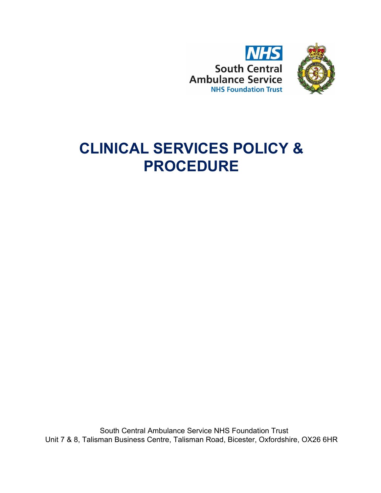



# **CLINICAL SERVICES POLICY & PROCEDURE**

South Central Ambulance Service NHS Foundation Trust Unit 7 & 8, Talisman Business Centre, Talisman Road, Bicester, Oxfordshire, OX26 6HR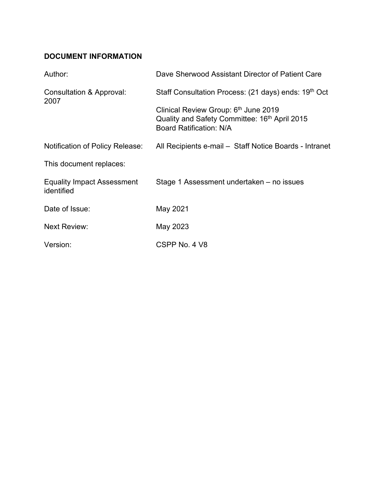# <span id="page-1-0"></span>**DOCUMENT INFORMATION**

| Author:                                         | Dave Sherwood Assistant Director of Patient Care                                                                                    |
|-------------------------------------------------|-------------------------------------------------------------------------------------------------------------------------------------|
| Consultation & Approval:<br>2007                | Staff Consultation Process: (21 days) ends: 19th Oct                                                                                |
|                                                 | Clinical Review Group: 6th June 2019<br>Quality and Safety Committee: 16 <sup>th</sup> April 2015<br><b>Board Ratification: N/A</b> |
| Notification of Policy Release:                 | All Recipients e-mail - Staff Notice Boards - Intranet                                                                              |
| This document replaces:                         |                                                                                                                                     |
| <b>Equality Impact Assessment</b><br>identified | Stage 1 Assessment undertaken – no issues                                                                                           |
| Date of Issue:                                  | May 2021                                                                                                                            |
| <b>Next Review:</b>                             | May 2023                                                                                                                            |
| Version:                                        | CSPP No. 4 V8                                                                                                                       |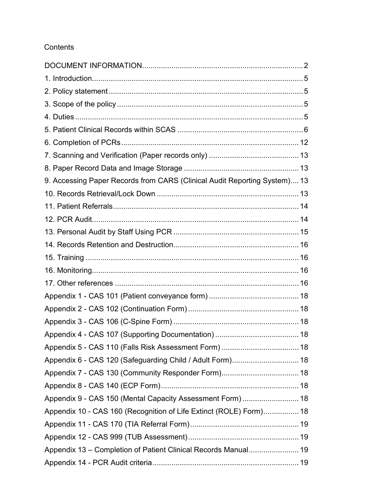## **Contents**

| 9. Accessing Paper Records from CARS (Clinical Audit Reporting System) 13 |  |
|---------------------------------------------------------------------------|--|
|                                                                           |  |
|                                                                           |  |
|                                                                           |  |
|                                                                           |  |
|                                                                           |  |
|                                                                           |  |
|                                                                           |  |
|                                                                           |  |
|                                                                           |  |
|                                                                           |  |
|                                                                           |  |
|                                                                           |  |
|                                                                           |  |
|                                                                           |  |
| Appendix 7 - CAS 130 (Community Responder Form) 18                        |  |
|                                                                           |  |
| Appendix 9 - CAS 150 (Mental Capacity Assessment Form)  18                |  |
| Appendix 10 - CAS 160 (Recognition of Life Extinct (ROLE) Form) 18        |  |
|                                                                           |  |
|                                                                           |  |
| Appendix 13 - Completion of Patient Clinical Records Manual 19            |  |
|                                                                           |  |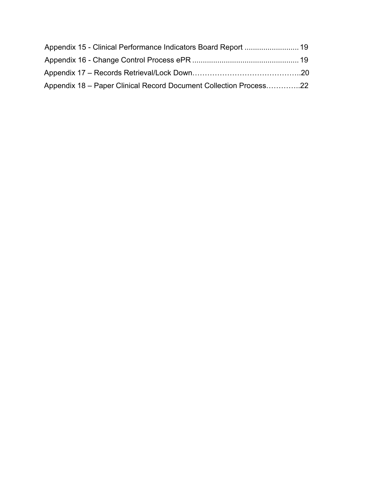| Appendix 15 - Clinical Performance Indicators Board Report  19    |  |
|-------------------------------------------------------------------|--|
|                                                                   |  |
|                                                                   |  |
| Appendix 18 - Paper Clinical Record Document Collection Process22 |  |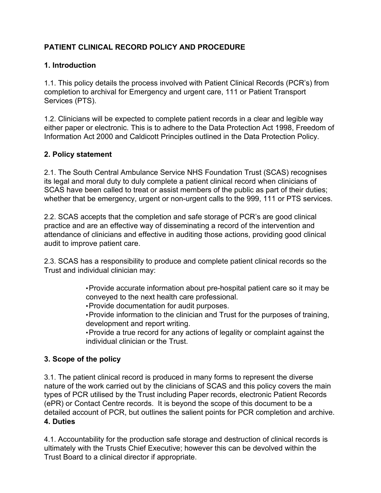# **PATIENT CLINICAL RECORD POLICY AND PROCEDURE**

## <span id="page-4-0"></span>**1. Introduction**

1.1. This policy details the process involved with Patient Clinical Records (PCR's) from completion to archival for Emergency and urgent care, 111 or Patient Transport Services (PTS).

1.2. Clinicians will be expected to complete patient records in a clear and legible way either paper or electronic. This is to adhere to the Data Protection Act 1998, Freedom of Information Act 2000 and Caldicott Principles outlined in the Data Protection Policy.

## <span id="page-4-1"></span>**2. Policy statement**

2.1. The South Central Ambulance Service NHS Foundation Trust (SCAS) recognises its legal and moral duty to duly complete a patient clinical record when clinicians of SCAS have been called to treat or assist members of the public as part of their duties; whether that be emergency, urgent or non-urgent calls to the 999, 111 or PTS services.

2.2. SCAS accepts that the completion and safe storage of PCR's are good clinical practice and are an effective way of disseminating a record of the intervention and attendance of clinicians and effective in auditing those actions, providing good clinical audit to improve patient care.

2.3. SCAS has a responsibility to produce and complete patient clinical records so the Trust and individual clinician may:

> •Provide accurate information about pre-hospital patient care so it may be conveyed to the next health care professional.

•Provide documentation for audit purposes.

•Provide information to the clinician and Trust for the purposes of training, development and report writing.

•Provide a true record for any actions of legality or complaint against the individual clinician or the Trust.

## <span id="page-4-2"></span>**3. Scope of the policy**

3.1. The patient clinical record is produced in many forms to represent the diverse nature of the work carried out by the clinicians of SCAS and this policy covers the main types of PCR utilised by the Trust including Paper records, electronic Patient Records (ePR) or Contact Centre records. It is beyond the scope of this document to be a detailed account of PCR, but outlines the salient points for PCR completion and archive. **4. Duties** 

<span id="page-4-3"></span>4.1. Accountability for the production safe storage and destruction of clinical records is ultimately with the Trusts Chief Executive; however this can be devolved within the Trust Board to a clinical director if appropriate.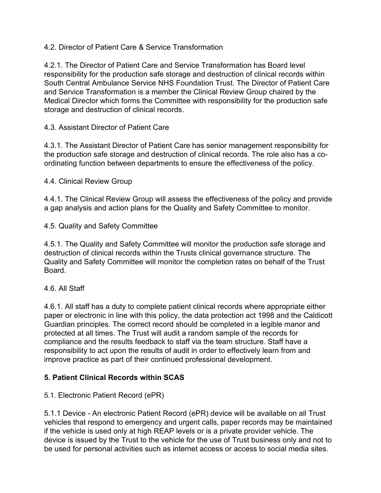## 4.2. Director of Patient Care & Service Transformation

4.2.1. The Director of Patient Care and Service Transformation has Board level responsibility for the production safe storage and destruction of clinical records within South Central Ambulance Service NHS Foundation Trust. The Director of Patient Care and Service Transformation is a member the Clinical Review Group chaired by the Medical Director which forms the Committee with responsibility for the production safe storage and destruction of clinical records.

## 4.3. Assistant Director of Patient Care

4.3.1. The Assistant Director of Patient Care has senior management responsibility for the production safe storage and destruction of clinical records. The role also has a coordinating function between departments to ensure the effectiveness of the policy.

## 4.4. Clinical Review Group

4.4.1. The Clinical Review Group will assess the effectiveness of the policy and provide a gap analysis and action plans for the Quality and Safety Committee to monitor.

4.5. Quality and Safety Committee

4.5.1. The Quality and Safety Committee will monitor the production safe storage and destruction of clinical records within the Trusts clinical governance structure. The Quality and Safety Committee will monitor the completion rates on behalf of the Trust Board.

## 4.6. All Staff

4.6.1. All staff has a duty to complete patient clinical records where appropriate either paper or electronic in line with this policy, the data protection act 1998 and the Caldicott Guardian principles. The correct record should be completed in a legible manor and protected at all times. The Trust will audit a random sample of the records for compliance and the results feedback to staff via the team structure. Staff have a responsibility to act upon the results of audit in order to effectively learn from and improve practice as part of their continued professional development.

# <span id="page-5-0"></span>**5. Patient Clinical Records within SCAS**

# 5.1. Electronic Patient Record (ePR)

5.1.1 Device - An electronic Patient Record (ePR) device will be available on all Trust vehicles that respond to emergency and urgent calls, paper records may be maintained if the vehicle is used only at high REAP levels or is a private provider vehicle. The device is issued by the Trust to the vehicle for the use of Trust business only and not to be used for personal activities such as internet access or access to social media sites.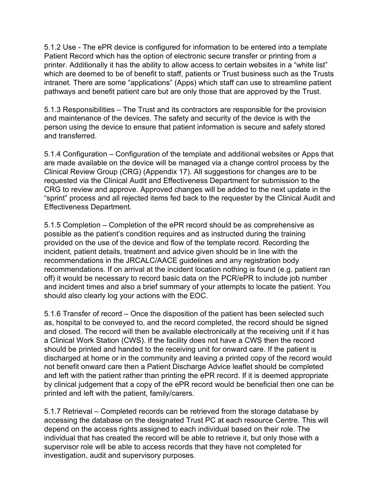5.1.2 Use - The ePR device is configured for information to be entered into a template Patient Record which has the option of electronic secure transfer or printing from a printer. Additionally it has the ability to allow access to certain websites in a "white list" which are deemed to be of benefit to staff, patients or Trust business such as the Trusts intranet. There are some "applications" (Apps) which staff can use to streamline patient pathways and benefit patient care but are only those that are approved by the Trust.

5.1.3 Responsibilities – The Trust and its contractors are responsible for the provision and maintenance of the devices. The safety and security of the device is with the person using the device to ensure that patient information is secure and safely stored and transferred.

5.1.4 Configuration – Configuration of the template and additional websites or Apps that are made available on the device will be managed via a change control process by the Clinical Review Group (CRG) (Appendix 17). All suggestions for changes are to be requested via the Clinical Audit and Effectiveness Department for submission to the CRG to review and approve. Approved changes will be added to the next update in the "sprint" process and all rejected items fed back to the requester by the Clinical Audit and Effectiveness Department.

5.1.5 Completion – Completion of the ePR record should be as comprehensive as possible as the patient's condition requires and as instructed during the training provided on the use of the device and flow of the template record. Recording the incident, patient details, treatment and advice given should be in line with the recommendations in the JRCALC/AACE guidelines and any registration body recommendations. If on arrival at the incident location nothing is found (e.g. patient ran off) it would be necessary to record basic data on the PCR/ePR to include job number and incident times and also a brief summary of your attempts to locate the patient. You should also clearly log your actions with the EOC.

5.1.6 Transfer of record – Once the disposition of the patient has been selected such as, hospital to be conveyed to, and the record completed, the record should be signed and closed. The record will then be available electronically at the receiving unit if it has a Clinical Work Station (CWS). If the facility does not have a CWS then the record should be printed and handed to the receiving unit for onward care. If the patient is discharged at home or in the community and leaving a printed copy of the record would not benefit onward care then a Patient Discharge Advice leaflet should be completed and left with the patient rather than printing the ePR record. If it is deemed appropriate by clinical judgement that a copy of the ePR record would be beneficial then one can be printed and left with the patient, family/carers.

5.1.7 Retrieval – Completed records can be retrieved from the storage database by accessing the database on the designated Trust PC at each resource Centre. This will depend on the access rights assigned to each individual based on their role. The individual that has created the record will be able to retrieve it, but only those with a supervisor role will be able to access records that they have not completed for investigation, audit and supervisory purposes.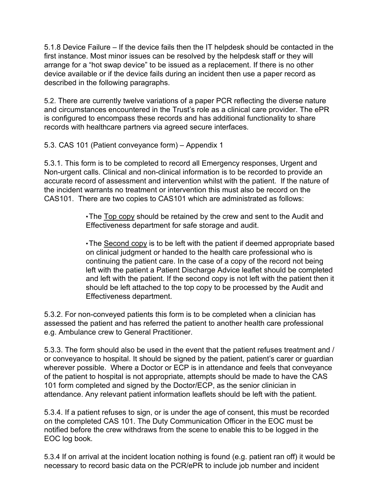5.1.8 Device Failure – If the device fails then the IT helpdesk should be contacted in the first instance. Most minor issues can be resolved by the helpdesk staff or they will arrange for a "hot swap device" to be issued as a replacement. If there is no other device available or if the device fails during an incident then use a paper record as described in the following paragraphs.

5.2. There are currently twelve variations of a paper PCR reflecting the diverse nature and circumstances encountered in the Trust's role as a clinical care provider. The ePR is configured to encompass these records and has additional functionality to share records with healthcare partners via agreed secure interfaces.

5.3. CAS 101 (Patient conveyance form) – Appendix 1

5.3.1. This form is to be completed to record all Emergency responses, Urgent and Non-urgent calls. Clinical and non-clinical information is to be recorded to provide an accurate record of assessment and intervention whilst with the patient. If the nature of the incident warrants no treatment or intervention this must also be record on the CAS101. There are two copies to CAS101 which are administrated as follows:

> •The Top copy should be retained by the crew and sent to the Audit and Effectiveness department for safe storage and audit.

•The Second copy is to be left with the patient if deemed appropriate based on clinical judgment or handed to the health care professional who is continuing the patient care. In the case of a copy of the record not being left with the patient a Patient Discharge Advice leaflet should be completed and left with the patient. If the second copy is not left with the patient then it should be left attached to the top copy to be processed by the Audit and Effectiveness department.

5.3.2. For non-conveyed patients this form is to be completed when a clinician has assessed the patient and has referred the patient to another health care professional e.g. Ambulance crew to General Practitioner.

5.3.3. The form should also be used in the event that the patient refuses treatment and / or conveyance to hospital. It should be signed by the patient, patient's carer or guardian wherever possible. Where a Doctor or ECP is in attendance and feels that conveyance of the patient to hospital is not appropriate, attempts should be made to have the CAS 101 form completed and signed by the Doctor/ECP, as the senior clinician in attendance. Any relevant patient information leaflets should be left with the patient.

5.3.4. If a patient refuses to sign, or is under the age of consent, this must be recorded on the completed CAS 101. The Duty Communication Officer in the EOC must be notified before the crew withdraws from the scene to enable this to be logged in the EOC log book.

5.3.4 If on arrival at the incident location nothing is found (e.g. patient ran off) it would be necessary to record basic data on the PCR/ePR to include job number and incident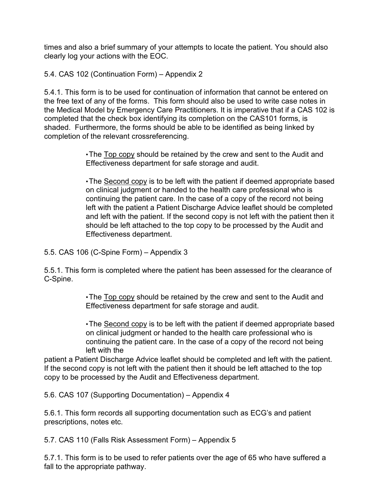times and also a brief summary of your attempts to locate the patient. You should also clearly log your actions with the EOC.

5.4. CAS 102 (Continuation Form) – Appendix 2

5.4.1. This form is to be used for continuation of information that cannot be entered on the free text of any of the forms. This form should also be used to write case notes in the Medical Model by Emergency Care Practitioners. It is imperative that if a CAS 102 is completed that the check box identifying its completion on the CAS101 forms, is shaded. Furthermore, the forms should be able to be identified as being linked by completion of the relevant crossreferencing.

> •The Top copy should be retained by the crew and sent to the Audit and Effectiveness department for safe storage and audit.

•The Second copy is to be left with the patient if deemed appropriate based on clinical judgment or handed to the health care professional who is continuing the patient care. In the case of a copy of the record not being left with the patient a Patient Discharge Advice leaflet should be completed and left with the patient. If the second copy is not left with the patient then it should be left attached to the top copy to be processed by the Audit and Effectiveness department.

5.5. CAS 106 (C-Spine Form) – Appendix 3

5.5.1. This form is completed where the patient has been assessed for the clearance of C-Spine.

> •The Top copy should be retained by the crew and sent to the Audit and Effectiveness department for safe storage and audit.

•The Second copy is to be left with the patient if deemed appropriate based on clinical judgment or handed to the health care professional who is continuing the patient care. In the case of a copy of the record not being left with the

patient a Patient Discharge Advice leaflet should be completed and left with the patient. If the second copy is not left with the patient then it should be left attached to the top copy to be processed by the Audit and Effectiveness department.

5.6. CAS 107 (Supporting Documentation) – Appendix 4

5.6.1. This form records all supporting documentation such as ECG's and patient prescriptions, notes etc.

5.7. CAS 110 (Falls Risk Assessment Form) – Appendix 5

5.7.1. This form is to be used to refer patients over the age of 65 who have suffered a fall to the appropriate pathway.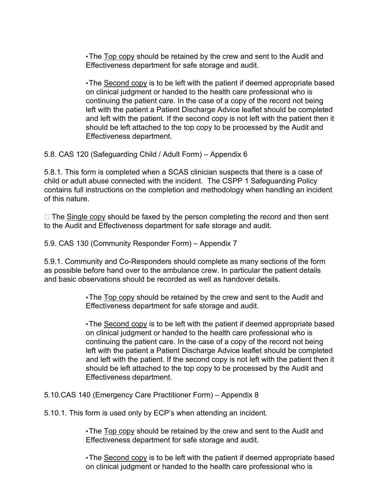•The Top copy should be retained by the crew and sent to the Audit and Effectiveness department for safe storage and audit.

•The Second copy is to be left with the patient if deemed appropriate based on clinical judgment or handed to the health care professional who is continuing the patient care. In the case of a copy of the record not being left with the patient a Patient Discharge Advice leaflet should be completed and left with the patient. If the second copy is not left with the patient then it should be left attached to the top copy to be processed by the Audit and Effectiveness department.

5.8. CAS 120 (Safeguarding Child / Adult Form) – Appendix 6

5.8.1. This form is completed when a SCAS clinician suspects that there is a case of child or adult abuse connected with the incident. The CSPP 1 Safeguarding Policy contains full instructions on the completion and methodology when handling an incident of this nature.

 $\Box$  The Single copy should be faxed by the person completing the record and then sent to the Audit and Effectiveness department for safe storage and audit.

5.9. CAS 130 (Community Responder Form) – Appendix 7

5.9.1. Community and Co-Responders should complete as many sections of the form as possible before hand over to the ambulance crew. In particular the patient details and basic observations should be recorded as well as handover details.

> •The Top copy should be retained by the crew and sent to the Audit and Effectiveness department for safe storage and audit.

•The Second copy is to be left with the patient if deemed appropriate based on clinical judgment or handed to the health care professional who is continuing the patient care. In the case of a copy of the record not being left with the patient a Patient Discharge Advice leaflet should be completed and left with the patient. If the second copy is not left with the patient then it should be left attached to the top copy to be processed by the Audit and Effectiveness department.

5.10.CAS 140 (Emergency Care Practitioner Form) – Appendix 8

5.10.1. This form is used only by ECP's when attending an incident.

•The Top copy should be retained by the crew and sent to the Audit and Effectiveness department for safe storage and audit.

•The Second copy is to be left with the patient if deemed appropriate based on clinical judgment or handed to the health care professional who is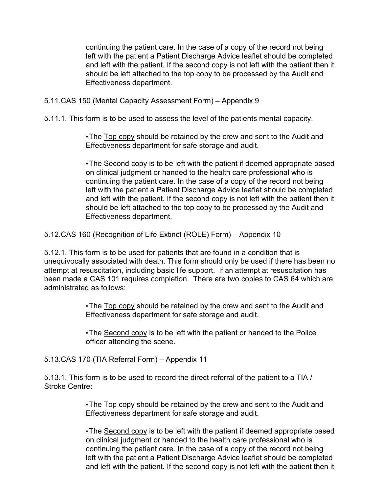continuing the patient care. In the case of a copy of the record not being left with the patient a Patient Discharge Advice leaflet should be completed and left with the patient. If the second copy is not left with the patient then it should be left attached to the top copy to be processed by the Audit and Effectiveness department.

5.11.CAS 150 (Mental Capacity Assessment Form) – Appendix 9

5.11.1. This form is to be used to assess the level of the patients mental capacity.

•The Top copy should be retained by the crew and sent to the Audit and Effectiveness department for safe storage and audit.

•The Second copy is to be left with the patient if deemed appropriate based on clinical judgment or handed to the health care professional who is continuing the patient care. In the case of a copy of the record not being left with the patient a Patient Discharge Advice leaflet should be completed and left with the patient. If the second copy is not left with the patient then it should be left attached to the top copy to be processed by the Audit and Effectiveness department.

5.12.CAS 160 (Recognition of Life Extinct (ROLE) Form) – Appendix 10

5.12.1. This form is to be used for patients that are found in a condition that is unequivocally associated with death. This form should only be used if there has been no attempt at resuscitation, including basic life support. If an attempt at resuscitation has been made a CAS 101 requires completion. There are two copies to CAS 64 which are administrated as follows:

> •The Top copy should be retained by the crew and sent to the Audit and Effectiveness department for safe storage and audit.

•The Second copy is to be left with the patient or handed to the Police officer attending the scene.

5.13.CAS 170 (TIA Referral Form) – Appendix 11

5.13.1. This form is to be used to record the direct referral of the patient to a TIA / Stroke Centre:

> •The Top copy should be retained by the crew and sent to the Audit and Effectiveness department for safe storage and audit.

•The Second copy is to be left with the patient if deemed appropriate based on clinical judgment or handed to the health care professional who is continuing the patient care. In the case of a copy of the record not being left with the patient a Patient Discharge Advice leaflet should be completed and left with the patient. If the second copy is not left with the patient then it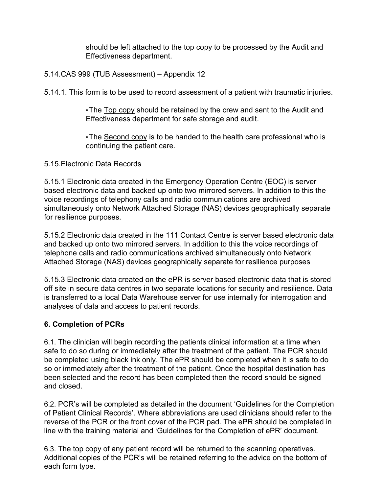should be left attached to the top copy to be processed by the Audit and Effectiveness department.

#### 5.14.CAS 999 (TUB Assessment) – Appendix 12

5.14.1. This form is to be used to record assessment of a patient with traumatic injuries.

•The Top copy should be retained by the crew and sent to the Audit and Effectiveness department for safe storage and audit.

•The Second copy is to be handed to the health care professional who is continuing the patient care.

5.15.Electronic Data Records

5.15.1 Electronic data created in the Emergency Operation Centre (EOC) is server based electronic data and backed up onto two mirrored servers. In addition to this the voice recordings of telephony calls and radio communications are archived simultaneously onto Network Attached Storage (NAS) devices geographically separate for resilience purposes.

5.15.2 Electronic data created in the 111 Contact Centre is server based electronic data and backed up onto two mirrored servers. In addition to this the voice recordings of telephone calls and radio communications archived simultaneously onto Network Attached Storage (NAS) devices geographically separate for resilience purposes

5.15.3 Electronic data created on the ePR is server based electronic data that is stored off site in secure data centres in two separate locations for security and resilience. Data is transferred to a local Data Warehouse server for use internally for interrogation and analyses of data and access to patient records.

#### <span id="page-11-0"></span>**6. Completion of PCRs**

6.1. The clinician will begin recording the patients clinical information at a time when safe to do so during or immediately after the treatment of the patient. The PCR should be completed using black ink only. The ePR should be completed when it is safe to do so or immediately after the treatment of the patient. Once the hospital destination has been selected and the record has been completed then the record should be signed and closed.

6.2. PCR's will be completed as detailed in the document 'Guidelines for the Completion of Patient Clinical Records'. Where abbreviations are used clinicians should refer to the reverse of the PCR or the front cover of the PCR pad. The ePR should be completed in line with the training material and 'Guidelines for the Completion of ePR' document.

6.3. The top copy of any patient record will be returned to the scanning operatives. Additional copies of the PCR's will be retained referring to the advice on the bottom of each form type.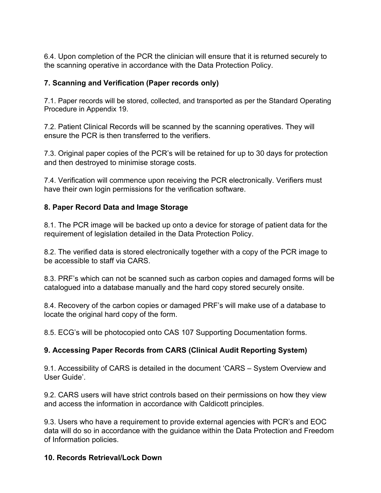6.4. Upon completion of the PCR the clinician will ensure that it is returned securely to the scanning operative in accordance with the Data Protection Policy.

### <span id="page-12-0"></span>**7. Scanning and Verification (Paper records only)**

7.1. Paper records will be stored, collected, and transported as per the Standard Operating Procedure in Appendix 19.

7.2. Patient Clinical Records will be scanned by the scanning operatives. They will ensure the PCR is then transferred to the verifiers.

7.3. Original paper copies of the PCR's will be retained for up to 30 days for protection and then destroyed to minimise storage costs.

7.4. Verification will commence upon receiving the PCR electronically. Verifiers must have their own login permissions for the verification software.

#### <span id="page-12-1"></span>**8. Paper Record Data and Image Storage**

8.1. The PCR image will be backed up onto a device for storage of patient data for the requirement of legislation detailed in the Data Protection Policy.

8.2. The verified data is stored electronically together with a copy of the PCR image to be accessible to staff via CARS.

8.3. PRF's which can not be scanned such as carbon copies and damaged forms will be catalogued into a database manually and the hard copy stored securely onsite.

8.4. Recovery of the carbon copies or damaged PRF's will make use of a database to locate the original hard copy of the form.

8.5. ECG's will be photocopied onto CAS 107 Supporting Documentation forms.

## <span id="page-12-2"></span>**9. Accessing Paper Records from CARS (Clinical Audit Reporting System)**

9.1. Accessibility of CARS is detailed in the document 'CARS – System Overview and User Guide'.

9.2. CARS users will have strict controls based on their permissions on how they view and access the information in accordance with Caldicott principles.

9.3. Users who have a requirement to provide external agencies with PCR's and EOC data will do so in accordance with the guidance within the Data Protection and Freedom of Information policies.

#### <span id="page-12-3"></span>**10. Records Retrieval/Lock Down**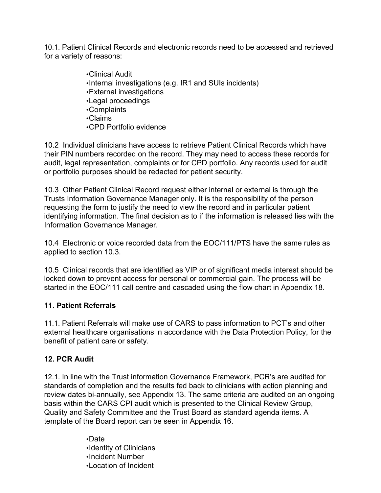10.1. Patient Clinical Records and electronic records need to be accessed and retrieved for a variety of reasons:

> •Clinical Audit •Internal investigations (e.g. IR1 and SUIs incidents) •External investigations •Legal proceedings •Complaints •Claims •CPD Portfolio evidence

10.2 Individual clinicians have access to retrieve Patient Clinical Records which have their PIN numbers recorded on the record. They may need to access these records for audit, legal representation, complaints or for CPD portfolio. Any records used for audit or portfolio purposes should be redacted for patient security.

10.3 Other Patient Clinical Record request either internal or external is through the Trusts Information Governance Manager only. It is the responsibility of the person requesting the form to justify the need to view the record and in particular patient identifying information. The final decision as to if the information is released lies with the Information Governance Manager.

10.4 Electronic or voice recorded data from the EOC/111/PTS have the same rules as applied to section 10.3.

10.5 Clinical records that are identified as VIP or of significant media interest should be locked down to prevent access for personal or commercial gain. The process will be started in the EOC/111 call centre and cascaded using the flow chart in Appendix 18.

## <span id="page-13-0"></span>**11. Patient Referrals**

11.1. Patient Referrals will make use of CARS to pass information to PCT's and other external healthcare organisations in accordance with the Data Protection Policy, for the benefit of patient care or safety.

## <span id="page-13-1"></span>**12. PCR Audit**

12.1. In line with the Trust information Governance Framework, PCR's are audited for standards of completion and the results fed back to clinicians with action planning and review dates bi-annually, see Appendix 13. The same criteria are audited on an ongoing basis within the CARS CPI audit which is presented to the Clinical Review Group, Quality and Safety Committee and the Trust Board as standard agenda items. A template of the Board report can be seen in Appendix 16.

> •Date •Identity of Clinicians •Incident Number •Location of Incident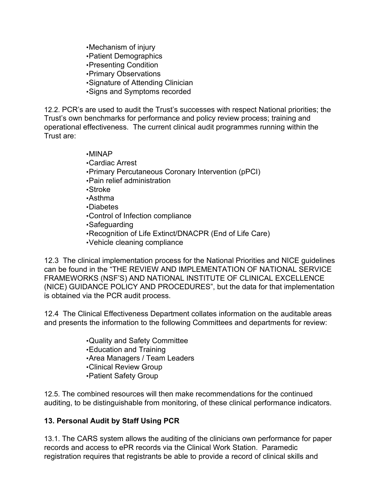•Mechanism of injury •Patient Demographics •Presenting Condition •Primary Observations •Signature of Attending Clinician •Signs and Symptoms recorded

12.2. PCR's are used to audit the Trust's successes with respect National priorities; the Trust's own benchmarks for performance and policy review process; training and operational effectiveness. The current clinical audit programmes running within the Trust are:

#### •MINAP

- •Cardiac Arrest
- •Primary Percutaneous Coronary Intervention (pPCI)
- •Pain relief administration
- •Stroke
- •Asthma
- •Diabetes
- •Control of Infection compliance
- •Safeguarding
- •Recognition of Life Extinct/DNACPR (End of Life Care)
- •Vehicle cleaning compliance

12.3 The clinical implementation process for the National Priorities and NICE guidelines can be found in the "THE REVIEW AND IMPLEMENTATION OF NATIONAL SERVICE FRAMEWORKS (NSF'S) AND NATIONAL INSTITUTE OF CLINICAL EXCELLENCE (NICE) GUIDANCE POLICY AND PROCEDURES", but the data for that implementation is obtained via the PCR audit process.

12.4 The Clinical Effectiveness Department collates information on the auditable areas and presents the information to the following Committees and departments for review:

> •Quality and Safety Committee •Education and Training •Area Managers / Team Leaders •Clinical Review Group •Patient Safety Group

12.5. The combined resources will then make recommendations for the continued auditing, to be distinguishable from monitoring, of these clinical performance indicators.

## <span id="page-14-0"></span>**13. Personal Audit by Staff Using PCR**

13.1. The CARS system allows the auditing of the clinicians own performance for paper records and access to ePR records via the Clinical Work Station. Paramedic registration requires that registrants be able to provide a record of clinical skills and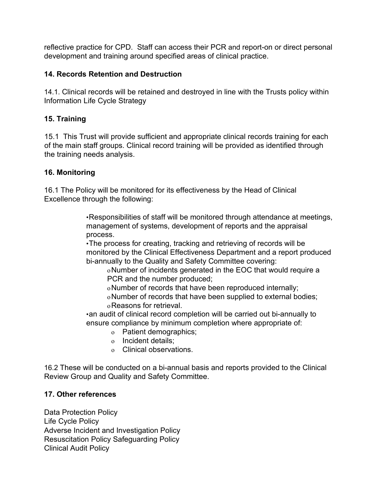reflective practice for CPD. Staff can access their PCR and report-on or direct personal development and training around specified areas of clinical practice.

#### <span id="page-15-0"></span>**14. Records Retention and Destruction**

14.1. Clinical records will be retained and destroyed in line with the Trusts policy within Information Life Cycle Strategy

#### <span id="page-15-1"></span>**15. Training**

15.1 This Trust will provide sufficient and appropriate clinical records training for each of the main staff groups. Clinical record training will be provided as identified through the training needs analysis.

#### <span id="page-15-2"></span>**16. Monitoring**

16.1 The Policy will be monitored for its effectiveness by the Head of Clinical Excellence through the following:

> •Responsibilities of staff will be monitored through attendance at meetings, management of systems, development of reports and the appraisal process.

> •The process for creating, tracking and retrieving of records will be monitored by the Clinical Effectiveness Department and a report produced bi-annually to the Quality and Safety Committee covering:

oNumber of incidents generated in the EOC that would require a PCR and the number produced;

oNumber of records that have been reproduced internally; oNumber of records that have been supplied to external bodies; oReasons for retrieval.

•an audit of clinical record completion will be carried out bi-annually to ensure compliance by minimum completion where appropriate of:

- o Patient demographics;
- o Incident details;
- o Clinical observations.

16.2 These will be conducted on a bi-annual basis and reports provided to the Clinical Review Group and Quality and Safety Committee.

#### <span id="page-15-3"></span>**17. Other references**

Data Protection Policy Life Cycle Policy Adverse Incident and Investigation Policy Resuscitation Policy Safeguarding Policy Clinical Audit Policy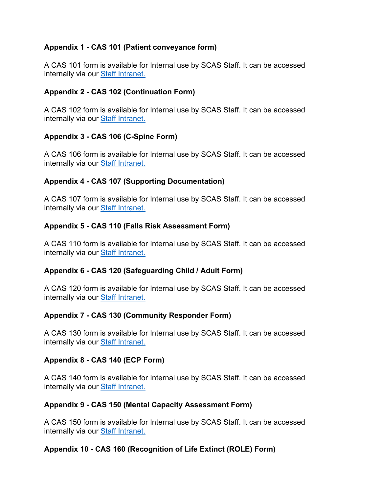## <span id="page-17-0"></span>**Appendix 1 - CAS 101 (Patient conveyance form)**

A CAS 101 form is available for Internal use by SCAS Staff. It can be accessed internally via our [Staff Intranet.](https://www.scas.nhs.uk/intranet/)

## <span id="page-17-1"></span>**Appendix 2 - CAS 102 (Continuation Form)**

A CAS 102 form is available for Internal use by SCAS Staff. It can be accessed internally via our **Staff Intranet**.

## <span id="page-17-2"></span>**Appendix 3 - CAS 106 (C-Spine Form)**

A CAS 106 form is available for Internal use by SCAS Staff. It can be accessed internally via our [Staff Intranet.](https://www.scas.nhs.uk/intranet/)

## <span id="page-17-3"></span>**Appendix 4 - CAS 107 (Supporting Documentation)**

A CAS 107 form is available for Internal use by SCAS Staff. It can be accessed internally via our **Staff Intranet**.

## <span id="page-17-4"></span>**Appendix 5 - CAS 110 (Falls Risk Assessment Form)**

A CAS 110 form is available for Internal use by SCAS Staff. It can be accessed internally via our **Staff Intranet**.

## <span id="page-17-5"></span>**Appendix 6 - CAS 120 (Safeguarding Child / Adult Form)**

A CAS 120 form is available for Internal use by SCAS Staff. It can be accessed internally via our [Staff Intranet.](https://www.scas.nhs.uk/intranet/)

## <span id="page-17-6"></span>**Appendix 7 - CAS 130 (Community Responder Form)**

A CAS 130 form is available for Internal use by SCAS Staff. It can be accessed internally via our **Staff Intranet**.

## <span id="page-17-7"></span>**Appendix 8 - CAS 140 (ECP Form)**

A CAS 140 form is available for Internal use by SCAS Staff. It can be accessed internally via our **[Staff Intranet.](https://www.scas.nhs.uk/intranet/)** 

## <span id="page-17-8"></span>**Appendix 9 - CAS 150 (Mental Capacity Assessment Form)**

A CAS 150 form is available for Internal use by SCAS Staff. It can be accessed internally via our **Staff Intranet**.

## <span id="page-17-9"></span>**Appendix 10 - CAS 160 (Recognition of Life Extinct (ROLE) Form)**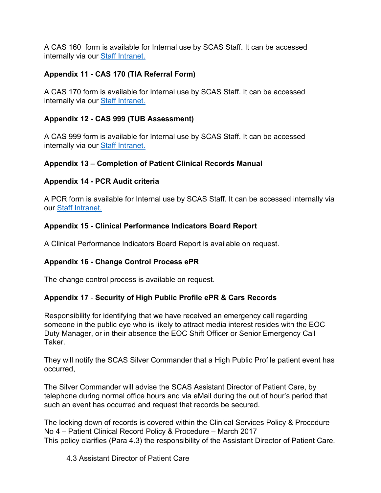A CAS 160 form is available for Internal use by SCAS Staff. It can be accessed internally via our [Staff Intranet.](https://www.scas.nhs.uk/intranet/)

## <span id="page-18-0"></span>**Appendix 11 - CAS 170 (TIA Referral Form)**

A CAS 170 form is available for Internal use by SCAS Staff. It can be accessed internally via our [Staff Intranet.](https://www.scas.nhs.uk/intranet/)

## <span id="page-18-1"></span>**Appendix 12 - CAS 999 (TUB Assessment)**

A CAS 999 form is available for Internal use by SCAS Staff. It can be accessed internally via our [Staff Intranet.](https://www.scas.nhs.uk/intranet/)

## <span id="page-18-2"></span>**Appendix 13 – Completion of Patient Clinical Records Manual**

## <span id="page-18-3"></span>**Appendix 14 - PCR Audit criteria**

A PCR form is available for Internal use by SCAS Staff. It can be accessed internally via our [Staff Intranet.](https://www.scas.nhs.uk/intranet/)

## <span id="page-18-4"></span>**Appendix 15 - Clinical Performance Indicators Board Report**

A Clinical Performance Indicators Board Report is available on request.

## <span id="page-18-5"></span>**Appendix 16 - Change Control Process ePR**

The change control process is available on request.

# **Appendix 17** - **Security of High Public Profile ePR & Cars Records**

Responsibility for identifying that we have received an emergency call regarding someone in the public eye who is likely to attract media interest resides with the EOC Duty Manager, or in their absence the EOC Shift Officer or Senior Emergency Call **Taker** 

They will notify the SCAS Silver Commander that a High Public Profile patient event has occurred,

The Silver Commander will advise the SCAS Assistant Director of Patient Care, by telephone during normal office hours and via eMail during the out of hour's period that such an event has occurred and request that records be secured.

The locking down of records is covered within the Clinical Services Policy & Procedure No 4 – Patient Clinical Record Policy & Procedure – March 2017 This policy clarifies (Para 4.3) the responsibility of the Assistant Director of Patient Care.

4.3 Assistant Director of Patient Care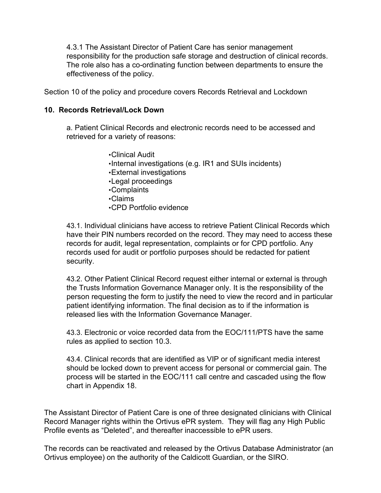4.3.1 The Assistant Director of Patient Care has senior management responsibility for the production safe storage and destruction of clinical records. The role also has a co-ordinating function between departments to ensure the effectiveness of the policy.

Section 10 of the policy and procedure covers Records Retrieval and Lockdown

#### **10. Records Retrieval/Lock Down**

a. Patient Clinical Records and electronic records need to be accessed and retrieved for a variety of reasons:

- •Clinical Audit
- •Internal investigations (e.g. IR1 and SUIs incidents)
- •External investigations
- •Legal proceedings
- •Complaints
- •Claims
- •CPD Portfolio evidence

43.1. Individual clinicians have access to retrieve Patient Clinical Records which have their PIN numbers recorded on the record. They may need to access these records for audit, legal representation, complaints or for CPD portfolio. Any records used for audit or portfolio purposes should be redacted for patient security.

43.2. Other Patient Clinical Record request either internal or external is through the Trusts Information Governance Manager only. It is the responsibility of the person requesting the form to justify the need to view the record and in particular patient identifying information. The final decision as to if the information is released lies with the Information Governance Manager.

43.3. Electronic or voice recorded data from the EOC/111/PTS have the same rules as applied to section 10.3.

43.4. Clinical records that are identified as VIP or of significant media interest should be locked down to prevent access for personal or commercial gain. The process will be started in the EOC/111 call centre and cascaded using the flow chart in Appendix 18.

The Assistant Director of Patient Care is one of three designated clinicians with Clinical Record Manager rights within the Ortivus ePR system. They will flag any High Public Profile events as "Deleted", and thereafter inaccessible to ePR users.

The records can be reactivated and released by the Ortivus Database Administrator (an Ortivus employee) on the authority of the Caldicott Guardian, or the SIRO.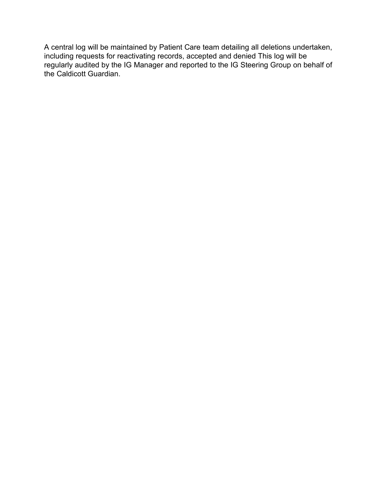A central log will be maintained by Patient Care team detailing all deletions undertaken, including requests for reactivating records, accepted and denied This log will be regularly audited by the IG Manager and reported to the IG Steering Group on behalf of the Caldicott Guardian.